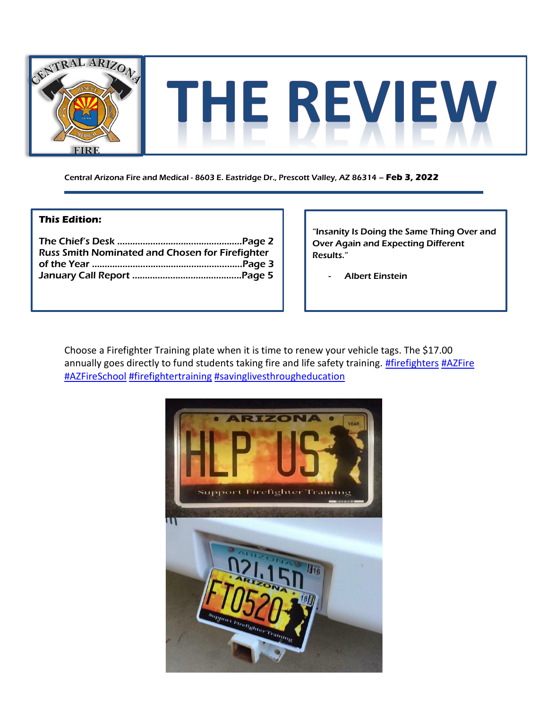

Central Arizona Fire and Medical - 8603 E. Eastridge Dr., Prescott Valley, AZ 86314 – **Feb 3, 2022**

## **This Edition:**

| <b>Russ Smith Nominated and Chosen for Firefighter</b> |  |
|--------------------------------------------------------|--|
|                                                        |  |
|                                                        |  |

"Insanity Is Doing the Same Thing Over and Over Again and Expecting Different Results."

**Albert Einstein** 

Choose a Firefighter Training plate when it is time to renew your vehicle tags. The \$17.00 annually goes directly to fund students taking fire and life safety training. **#firefighters [#AZFire](https://www.facebook.com/hashtag/azfire?__eep__=6&__cft__%5b0%5d=AZWp7SX0wCSPVLOYWNVfcra0KutGdknv4kByoRqrA1kpaW4dngbGJ8XUtCRCj538YZVhSj0bv9R03oN2goKWx5ydQFneKCb8dG49AowuDC_Pqq6DGMdZxN6jj5MACBPVGUu5zdlZhQKrb5i1124cjrDR5xmoBlDh7wVh-ZwjjCBoZO2pCAmRddoBChgOon_7JlhlFb0XHrUyf1-jHd_10wV5&__tn__=*NK-R)** [#AZFireSchool](https://www.facebook.com/hashtag/azfireschool?__eep__=6&__cft__%5b0%5d=AZWp7SX0wCSPVLOYWNVfcra0KutGdknv4kByoRqrA1kpaW4dngbGJ8XUtCRCj538YZVhSj0bv9R03oN2goKWx5ydQFneKCb8dG49AowuDC_Pqq6DGMdZxN6jj5MACBPVGUu5zdlZhQKrb5i1124cjrDR5xmoBlDh7wVh-ZwjjCBoZO2pCAmRddoBChgOon_7JlhlFb0XHrUyf1-jHd_10wV5&__tn__=*NK-R) [#firefightertraining](https://www.facebook.com/hashtag/firefightertraining?__eep__=6&__cft__%5b0%5d=AZWp7SX0wCSPVLOYWNVfcra0KutGdknv4kByoRqrA1kpaW4dngbGJ8XUtCRCj538YZVhSj0bv9R03oN2goKWx5ydQFneKCb8dG49AowuDC_Pqq6DGMdZxN6jj5MACBPVGUu5zdlZhQKrb5i1124cjrDR5xmoBlDh7wVh-ZwjjCBoZO2pCAmRddoBChgOon_7JlhlFb0XHrUyf1-jHd_10wV5&__tn__=*NK-R) [#savinglivesthrougheducation](https://www.facebook.com/hashtag/savinglivesthrougheducation?__eep__=6&__cft__%5b0%5d=AZWp7SX0wCSPVLOYWNVfcra0KutGdknv4kByoRqrA1kpaW4dngbGJ8XUtCRCj538YZVhSj0bv9R03oN2goKWx5ydQFneKCb8dG49AowuDC_Pqq6DGMdZxN6jj5MACBPVGUu5zdlZhQKrb5i1124cjrDR5xmoBlDh7wVh-ZwjjCBoZO2pCAmRddoBChgOon_7JlhlFb0XHrUyf1-jHd_10wV5&__tn__=*NK-R)

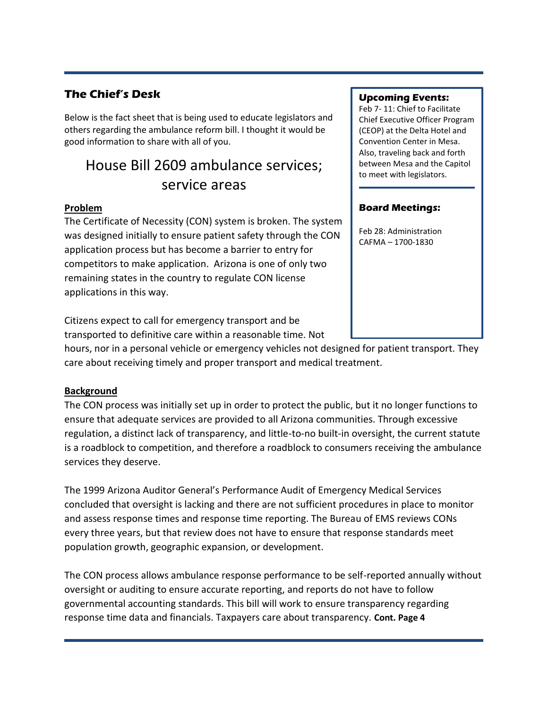# **The Chief's Desk**

Below is the fact sheet that is being used to educate legislators and others regarding the ambulance reform bill. I thought it would be good information to share with all of you.

# House Bill 2609 ambulance services; service areas

# **Problem**

The Certificate of Necessity (CON) system is broken. The system was designed initially to ensure patient safety through the CON application process but has become a barrier to entry for competitors to make application. Arizona is one of only two remaining states in the country to regulate CON license applications in this way.

Citizens expect to call for emergency transport and be transported to definitive care within a reasonable time. Not

## **Upcoming Events:**

Feb 7- 11: Chief to Facilitate Chief Executive Officer Program (CEOP) at the Delta Hotel and Convention Center in Mesa. Also, traveling back and forth between Mesa and the Capitol to meet with legislators.

### **Board Meetings:**

Feb 28: Administration CAFMA – 1700-1830

hours, nor in a personal vehicle or emergency vehicles not designed for patient transport. They care about receiving timely and proper transport and medical treatment.

# **Background**

The CON process was initially set up in order to protect the public, but it no longer functions to ensure that adequate services are provided to all Arizona communities. Through excessive regulation, a distinct lack of transparency, and little-to-no built-in oversight, the current statute is a roadblock to competition, and therefore a roadblock to consumers receiving the ambulance services they deserve.

The 1999 Arizona Auditor General's Performance Audit of Emergency Medical Services concluded that oversight is lacking and there are not sufficient procedures in place to monitor and assess response times and response time reporting. The Bureau of EMS reviews CONs every three years, but that review does not have to ensure that response standards meet population growth, geographic expansion, or development.

The CON process allows ambulance response performance to be self-reported annually without oversight or auditing to ensure accurate reporting, and reports do not have to follow governmental accounting standards. This bill will work to ensure transparency regarding response time data and financials. Taxpayers care about transparency. **Cont. Page 4**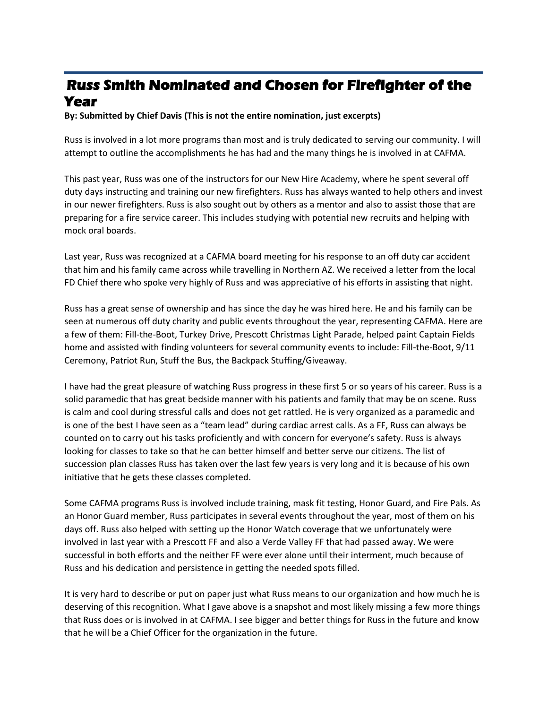# **Russ Smith Nominated and Chosen for Firefighter of the Year**

**By: Submitted by Chief Davis (This is not the entire nomination, just excerpts)**

Russ is involved in a lot more programs than most and is truly dedicated to serving our community. I will attempt to outline the accomplishments he has had and the many things he is involved in at CAFMA.

This past year, Russ was one of the instructors for our New Hire Academy, where he spent several off duty days instructing and training our new firefighters. Russ has always wanted to help others and invest in our newer firefighters. Russ is also sought out by others as a mentor and also to assist those that are preparing for a fire service career. This includes studying with potential new recruits and helping with mock oral boards.

Last year, Russ was recognized at a CAFMA board meeting for his response to an off duty car accident that him and his family came across while travelling in Northern AZ. We received a letter from the local FD Chief there who spoke very highly of Russ and was appreciative of his efforts in assisting that night.

Russ has a great sense of ownership and has since the day he was hired here. He and his family can be seen at numerous off duty charity and public events throughout the year, representing CAFMA. Here are a few of them: Fill-the-Boot, Turkey Drive, Prescott Christmas Light Parade, helped paint Captain Fields home and assisted with finding volunteers for several community events to include: Fill-the-Boot, 9/11 Ceremony, Patriot Run, Stuff the Bus, the Backpack Stuffing/Giveaway.

I have had the great pleasure of watching Russ progress in these first 5 or so years of his career. Russ is a solid paramedic that has great bedside manner with his patients and family that may be on scene. Russ is calm and cool during stressful calls and does not get rattled. He is very organized as a paramedic and is one of the best I have seen as a "team lead" during cardiac arrest calls. As a FF, Russ can always be counted on to carry out his tasks proficiently and with concern for everyone's safety. Russ is always looking for classes to take so that he can better himself and better serve our citizens. The list of succession plan classes Russ has taken over the last few years is very long and it is because of his own initiative that he gets these classes completed.

Some CAFMA programs Russ is involved include training, mask fit testing, Honor Guard, and Fire Pals. As an Honor Guard member, Russ participates in several events throughout the year, most of them on his days off. Russ also helped with setting up the Honor Watch coverage that we unfortunately were involved in last year with a Prescott FF and also a Verde Valley FF that had passed away. We were successful in both efforts and the neither FF were ever alone until their interment, much because of Russ and his dedication and persistence in getting the needed spots filled.

It is very hard to describe or put on paper just what Russ means to our organization and how much he is deserving of this recognition. What I gave above is a snapshot and most likely missing a few more things that Russ does or is involved in at CAFMA. I see bigger and better things for Russ in the future and know that he will be a Chief Officer for the organization in the future.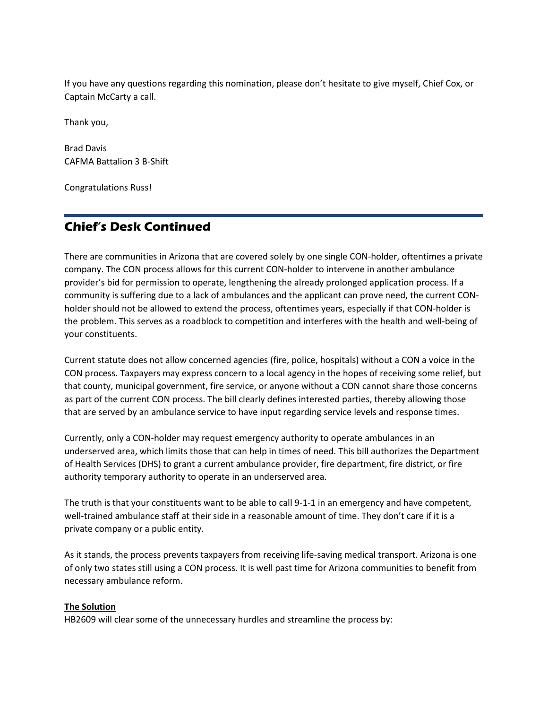If you have any questions regarding this nomination, please don't hesitate to give myself, Chief Cox, or Captain McCarty a call.

Thank you,

Brad Davis CAFMA Battalion 3 B-Shift

Congratulations Russ!

# **Chief's Desk Continued**

There are communities in Arizona that are covered solely by one single CON-holder, oftentimes a private company. The CON process allows for this current CON-holder to intervene in another ambulance provider's bid for permission to operate, lengthening the already prolonged application process. If a community is suffering due to a lack of ambulances and the applicant can prove need, the current CONholder should not be allowed to extend the process, oftentimes years, especially if that CON-holder is the problem. This serves as a roadblock to competition and interferes with the health and well-being of your constituents.

Current statute does not allow concerned agencies (fire, police, hospitals) without a CON a voice in the CON process. Taxpayers may express concern to a local agency in the hopes of receiving some relief, but that county, municipal government, fire service, or anyone without a CON cannot share those concerns as part of the current CON process. The bill clearly defines interested parties, thereby allowing those that are served by an ambulance service to have input regarding service levels and response times.

Currently, only a CON-holder may request emergency authority to operate ambulances in an underserved area, which limits those that can help in times of need. This bill authorizes the Department of Health Services (DHS) to grant a current ambulance provider, fire department, fire district, or fire authority temporary authority to operate in an underserved area.

The truth is that your constituents want to be able to call 9-1-1 in an emergency and have competent, well-trained ambulance staff at their side in a reasonable amount of time. They don't care if it is a private company or a public entity.

As it stands, the process prevents taxpayers from receiving life-saving medical transport. Arizona is one of only two states still using a CON process. It is well past time for Arizona communities to benefit from necessary ambulance reform.

#### **The Solution**

HB2609 will clear some of the unnecessary hurdles and streamline the process by: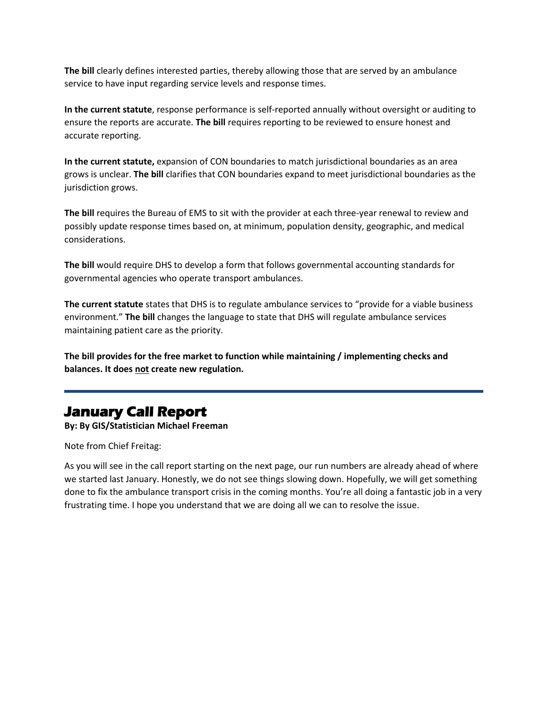**The bill** clearly defines interested parties, thereby allowing those that are served by an ambulance service to have input regarding service levels and response times.

**In the current statute**, response performance is self-reported annually without oversight or auditing to ensure the reports are accurate. **The bill** requires reporting to be reviewed to ensure honest and accurate reporting.

**In the current statute,** expansion of CON boundaries to match jurisdictional boundaries as an area grows is unclear. **The bill** clarifies that CON boundaries expand to meet jurisdictional boundaries as the jurisdiction grows.

**The bill** requires the Bureau of EMS to sit with the provider at each three-year renewal to review and possibly update response times based on, at minimum, population density, geographic, and medical considerations.

**The bill** would require DHS to develop a form that follows governmental accounting standards for governmental agencies who operate transport ambulances.

**The current statute** states that DHS is to regulate ambulance services to "provide for a viable business environment." **The bill** changes the language to state that DHS will regulate ambulance services maintaining patient care as the priority.

**The bill provides for the free market to function while maintaining / implementing checks and balances. It does not create new regulation.**

# **January Call Report**

**By: By GIS/Statistician Michael Freeman**

Note from Chief Freitag:

As you will see in the call report starting on the next page, our run numbers are already ahead of where we started last January. Honestly, we do not see things slowing down. Hopefully, we will get something done to fix the ambulance transport crisis in the coming months. You're all doing a fantastic job in a very frustrating time. I hope you understand that we are doing all we can to resolve the issue.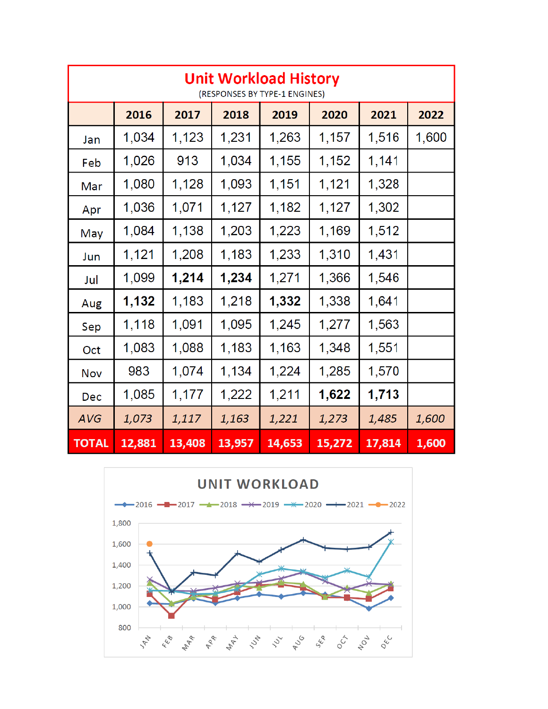| <b>Unit Workload History</b><br>(RESPONSES BY TYPE-1 ENGINES) |        |        |        |        |        |        |       |
|---------------------------------------------------------------|--------|--------|--------|--------|--------|--------|-------|
|                                                               | 2016   | 2017   | 2018   | 2019   | 2020   | 2021   | 2022  |
| Jan                                                           | 1,034  | 1,123  | 1,231  | 1,263  | 1,157  | 1,516  | 1,600 |
| Feb                                                           | 1,026  | 913    | 1,034  | 1,155  | 1,152  | 1,141  |       |
| Mar                                                           | 1,080  | 1,128  | 1,093  | 1,151  | 1,121  | 1,328  |       |
| Apr                                                           | 1,036  | 1,071  | 1,127  | 1,182  | 1,127  | 1,302  |       |
| May                                                           | 1,084  | 1,138  | 1,203  | 1,223  | 1,169  | 1,512  |       |
| Jun                                                           | 1,121  | 1,208  | 1,183  | 1,233  | 1,310  | 1,431  |       |
| Jul                                                           | 1,099  | 1,214  | 1,234  | 1,271  | 1,366  | 1,546  |       |
| Aug                                                           | 1,132  | 1,183  | 1,218  | 1,332  | 1,338  | 1,641  |       |
| Sep                                                           | 1,118  | 1,091  | 1,095  | 1,245  | 1,277  | 1,563  |       |
| Oct                                                           | 1,083  | 1,088  | 1,183  | 1,163  | 1,348  | 1,551  |       |
| Nov                                                           | 983    | 1,074  | 1,134  | 1,224  | 1,285  | 1,570  |       |
| Dec                                                           | 1,085  | 1,177  | 1,222  | 1,211  | 1,622  | 1,713  |       |
| <b>AVG</b>                                                    | 1,073  | 1,117  | 1,163  | 1,221  | 1,273  | 1,485  | 1,600 |
| <b>TOTAL</b>                                                  | 12,881 | 13,408 | 13,957 | 14,653 | 15,272 | 17,814 | 1,600 |